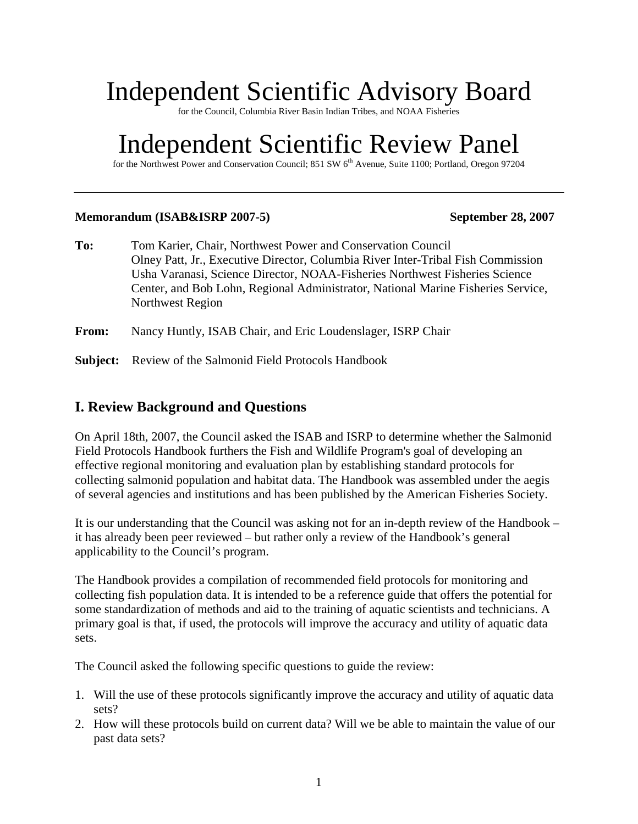# Independent Scientific Advisory Board

for the Council, Columbia River Basin Indian Tribes, and NOAA Fisheries

# Independent Scientific Review Panel

for the Northwest Power and Conservation Council; 851 SW 6<sup>th</sup> Avenue, Suite 1100; Portland, Oregon 97204

#### **Memorandum (ISAB&ISRP 2007-5) September 28, 2007**

- **To:** Tom Karier, Chair, Northwest Power and Conservation Council Olney Patt, Jr., Executive Director, Columbia River Inter-Tribal Fish Commission Usha Varanasi, Science Director, NOAA-Fisheries Northwest Fisheries Science Center, and Bob Lohn, Regional Administrator, National Marine Fisheries Service, Northwest Region
- **From:** Nancy Huntly, ISAB Chair, and Eric Loudenslager, ISRP Chair
- **Subject:** Review of the Salmonid Field Protocols Handbook

### **I. Review Background and Questions**

On April 18th, 2007, the Council asked the ISAB and ISRP to determine whether the Salmonid Field Protocols Handbook furthers the Fish and Wildlife Program's goal of developing an effective regional monitoring and evaluation plan by establishing standard protocols for collecting salmonid population and habitat data. The Handbook was assembled under the aegis of several agencies and institutions and has been published by the American Fisheries Society.

It is our understanding that the Council was asking not for an in-depth review of the Handbook – it has already been peer reviewed – but rather only a review of the Handbook's general applicability to the Council's program.

The Handbook provides a compilation of recommended field protocols for monitoring and collecting fish population data. It is intended to be a reference guide that offers the potential for some standardization of methods and aid to the training of aquatic scientists and technicians. A primary goal is that, if used, the protocols will improve the accuracy and utility of aquatic data sets.

The Council asked the following specific questions to guide the review:

- 1. Will the use of these protocols significantly improve the accuracy and utility of aquatic data sets?
- 2. How will these protocols build on current data? Will we be able to maintain the value of our past data sets?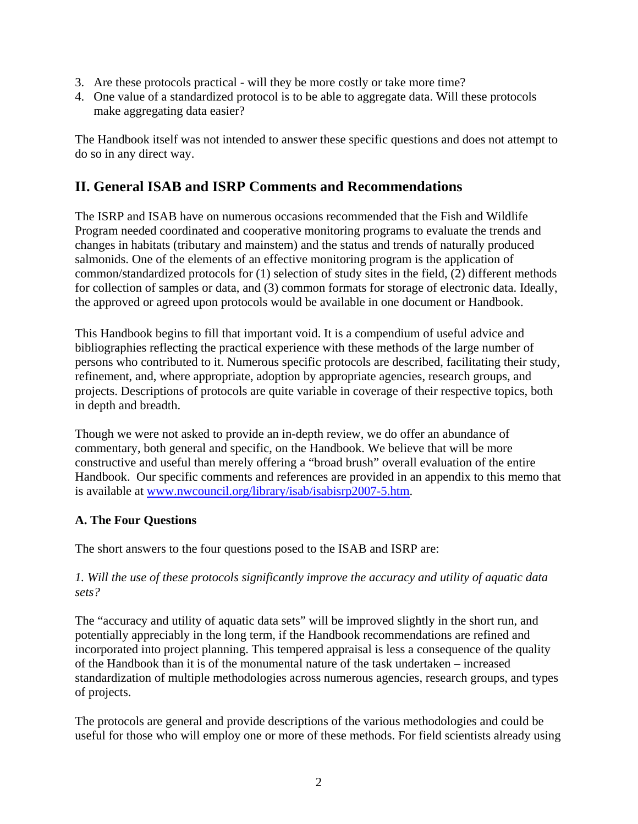- 3. Are these protocols practical will they be more costly or take more time?
- 4. One value of a standardized protocol is to be able to aggregate data. Will these protocols make aggregating data easier?

The Handbook itself was not intended to answer these specific questions and does not attempt to do so in any direct way.

# **II. General ISAB and ISRP Comments and Recommendations**

The ISRP and ISAB have on numerous occasions recommended that the Fish and Wildlife Program needed coordinated and cooperative monitoring programs to evaluate the trends and changes in habitats (tributary and mainstem) and the status and trends of naturally produced salmonids. One of the elements of an effective monitoring program is the application of common/standardized protocols for (1) selection of study sites in the field, (2) different methods for collection of samples or data, and (3) common formats for storage of electronic data. Ideally, the approved or agreed upon protocols would be available in one document or Handbook.

This Handbook begins to fill that important void. It is a compendium of useful advice and bibliographies reflecting the practical experience with these methods of the large number of persons who contributed to it. Numerous specific protocols are described, facilitating their study, refinement, and, where appropriate, adoption by appropriate agencies, research groups, and projects. Descriptions of protocols are quite variable in coverage of their respective topics, both in depth and breadth.

Though we were not asked to provide an in-depth review, we do offer an abundance of commentary, both general and specific, on the Handbook. We believe that will be more constructive and useful than merely offering a "broad brush" overall evaluation of the entire Handbook. Our specific comments and references are provided in an appendix to this memo that is available at [www.nwcouncil.org/library/isab/isabisrp2007-5.htm](http://www.nwcouncil.org/library/isab/isabisrp2007-5.htm).

## **A. The Four Questions**

The short answers to the four questions posed to the ISAB and ISRP are:

### *1. Will the use of these protocols significantly improve the accuracy and utility of aquatic data sets?*

The "accuracy and utility of aquatic data sets" will be improved slightly in the short run, and potentially appreciably in the long term, if the Handbook recommendations are refined and incorporated into project planning. This tempered appraisal is less a consequence of the quality of the Handbook than it is of the monumental nature of the task undertaken – increased standardization of multiple methodologies across numerous agencies, research groups, and types of projects.

The protocols are general and provide descriptions of the various methodologies and could be useful for those who will employ one or more of these methods. For field scientists already using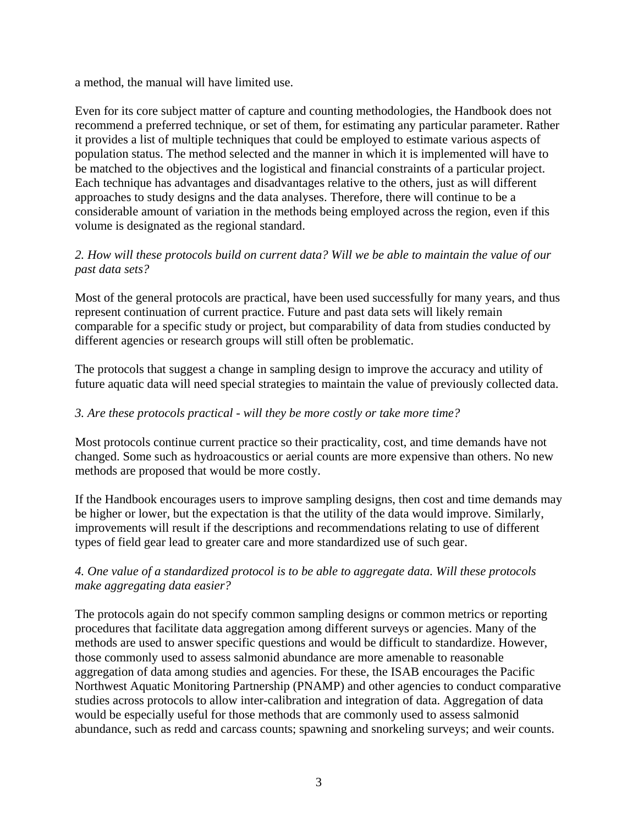a method, the manual will have limited use.

Even for its core subject matter of capture and counting methodologies, the Handbook does not recommend a preferred technique, or set of them, for estimating any particular parameter. Rather it provides a list of multiple techniques that could be employed to estimate various aspects of population status. The method selected and the manner in which it is implemented will have to be matched to the objectives and the logistical and financial constraints of a particular project. Each technique has advantages and disadvantages relative to the others, just as will different approaches to study designs and the data analyses. Therefore, there will continue to be a considerable amount of variation in the methods being employed across the region, even if this volume is designated as the regional standard.

#### *2. How will these protocols build on current data? Will we be able to maintain the value of our past data sets?*

Most of the general protocols are practical, have been used successfully for many years, and thus represent continuation of current practice. Future and past data sets will likely remain comparable for a specific study or project, but comparability of data from studies conducted by different agencies or research groups will still often be problematic.

The protocols that suggest a change in sampling design to improve the accuracy and utility of future aquatic data will need special strategies to maintain the value of previously collected data.

#### *3. Are these protocols practical - will they be more costly or take more time?*

Most protocols continue current practice so their practicality, cost, and time demands have not changed. Some such as hydroacoustics or aerial counts are more expensive than others. No new methods are proposed that would be more costly.

If the Handbook encourages users to improve sampling designs, then cost and time demands may be higher or lower, but the expectation is that the utility of the data would improve. Similarly, improvements will result if the descriptions and recommendations relating to use of different types of field gear lead to greater care and more standardized use of such gear.

### *4. One value of a standardized protocol is to be able to aggregate data. Will these protocols make aggregating data easier?*

The protocols again do not specify common sampling designs or common metrics or reporting procedures that facilitate data aggregation among different surveys or agencies. Many of the methods are used to answer specific questions and would be difficult to standardize. However, those commonly used to assess salmonid abundance are more amenable to reasonable aggregation of data among studies and agencies. For these, the ISAB encourages the Pacific Northwest Aquatic Monitoring Partnership (PNAMP) and other agencies to conduct comparative studies across protocols to allow inter-calibration and integration of data. Aggregation of data would be especially useful for those methods that are commonly used to assess salmonid abundance, such as redd and carcass counts; spawning and snorkeling surveys; and weir counts.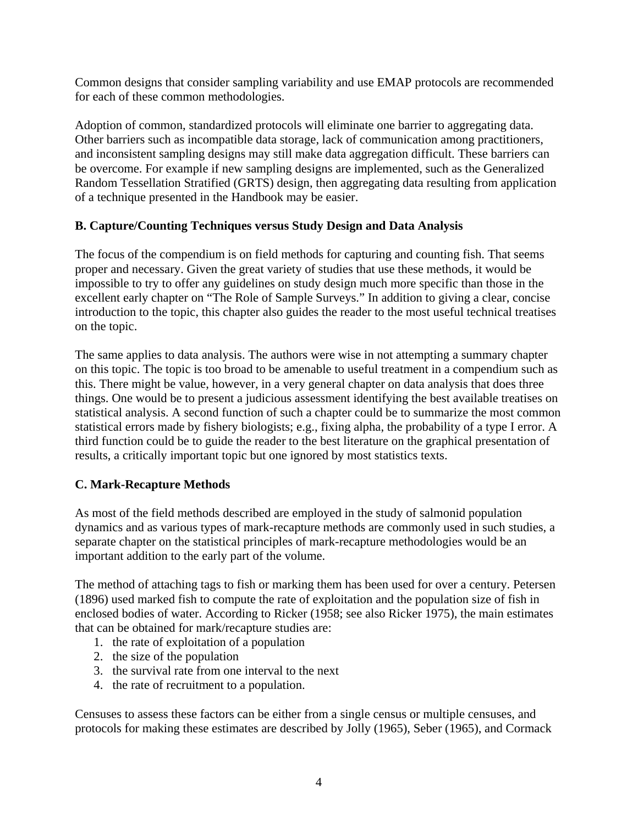Common designs that consider sampling variability and use EMAP protocols are recommended for each of these common methodologies.

Adoption of common, standardized protocols will eliminate one barrier to aggregating data. Other barriers such as incompatible data storage, lack of communication among practitioners, and inconsistent sampling designs may still make data aggregation difficult. These barriers can be overcome. For example if new sampling designs are implemented, such as the Generalized Random Tessellation Stratified (GRTS) design, then aggregating data resulting from application of a technique presented in the Handbook may be easier.

#### **B. Capture/Counting Techniques versus Study Design and Data Analysis**

The focus of the compendium is on field methods for capturing and counting fish. That seems proper and necessary. Given the great variety of studies that use these methods, it would be impossible to try to offer any guidelines on study design much more specific than those in the excellent early chapter on "The Role of Sample Surveys." In addition to giving a clear, concise introduction to the topic, this chapter also guides the reader to the most useful technical treatises on the topic.

The same applies to data analysis. The authors were wise in not attempting a summary chapter on this topic. The topic is too broad to be amenable to useful treatment in a compendium such as this. There might be value, however, in a very general chapter on data analysis that does three things. One would be to present a judicious assessment identifying the best available treatises on statistical analysis. A second function of such a chapter could be to summarize the most common statistical errors made by fishery biologists; e.g., fixing alpha, the probability of a type I error. A third function could be to guide the reader to the best literature on the graphical presentation of results, a critically important topic but one ignored by most statistics texts.

## **C. Mark-Recapture Methods**

As most of the field methods described are employed in the study of salmonid population dynamics and as various types of mark-recapture methods are commonly used in such studies, a separate chapter on the statistical principles of mark-recapture methodologies would be an important addition to the early part of the volume.

The method of attaching tags to fish or marking them has been used for over a century. Petersen (1896) used marked fish to compute the rate of exploitation and the population size of fish in enclosed bodies of water. According to Ricker (1958; see also Ricker 1975), the main estimates that can be obtained for mark/recapture studies are:

- 1. the rate of exploitation of a population
- 2. the size of the population
- 3. the survival rate from one interval to the next
- 4. the rate of recruitment to a population.

Censuses to assess these factors can be either from a single census or multiple censuses, and protocols for making these estimates are described by Jolly (1965), Seber (1965), and Cormack